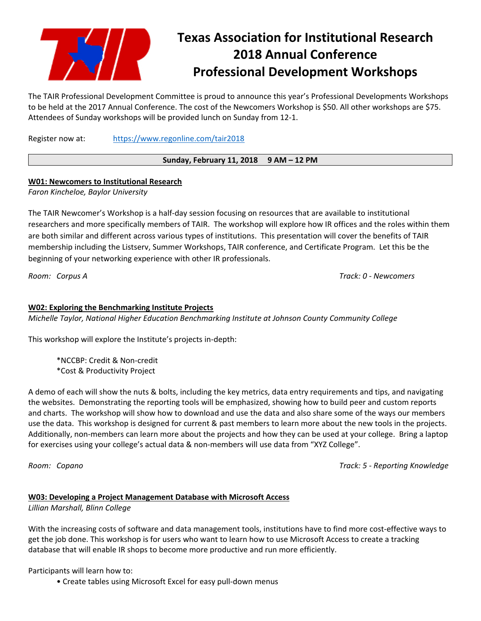

# **Texas Association for Institutional Research 2018 Annual Conference Professional Development Workshops**

The TAIR Professional Development Committee is proud to announce this year's Professional Developments Workshops to be held at the 2017 Annual Conference. The cost of the Newcomers Workshop is \$50. All other workshops are \$75. Attendees of Sunday workshops will be provided lunch on Sunday from 12‐1.

Register now at: https://www.regonline.com/tair2018

## **Sunday, February 11, 2018 9 AM – 12 PM**

# **W01: Newcomers to Institutional Research**

*Faron Kincheloe, Baylor University* 

The TAIR Newcomer's Workshop is a half‐day session focusing on resources that are available to institutional researchers and more specifically members of TAIR. The workshop will explore how IR offices and the roles within them are both similar and different across various types of institutions. This presentation will cover the benefits of TAIR membership including the Listserv, Summer Workshops, TAIR conference, and Certificate Program. Let this be the beginning of your networking experience with other IR professionals.

*Room: Corpus A Track: 0 ‐ Newcomers* 

## **W02: Exploring the Benchmarking Institute Projects**

*Michelle Taylor, National Higher Education Benchmarking Institute at Johnson County Community College* 

This workshop will explore the Institute's projects in‐depth:

\*NCCBP: Credit & Non‐credit \*Cost & Productivity Project

A demo of each will show the nuts & bolts, including the key metrics, data entry requirements and tips, and navigating the websites. Demonstrating the reporting tools will be emphasized, showing how to build peer and custom reports and charts. The workshop will show how to download and use the data and also share some of the ways our members use the data. This workshop is designed for current & past members to learn more about the new tools in the projects. Additionally, non-members can learn more about the projects and how they can be used at your college. Bring a laptop for exercises using your college's actual data & non‐members will use data from "XYZ College".

*Room: Copano Track: 5 ‐ Reporting Knowledge* 

#### **W03: Developing a Project Management Database with Microsoft Access**

*Lillian Marshall, Blinn College* 

With the increasing costs of software and data management tools, institutions have to find more cost‐effective ways to get the job done. This workshop is for users who want to learn how to use Microsoft Access to create a tracking database that will enable IR shops to become more productive and run more efficiently.

Participants will learn how to:

• Create tables using Microsoft Excel for easy pull‐down menus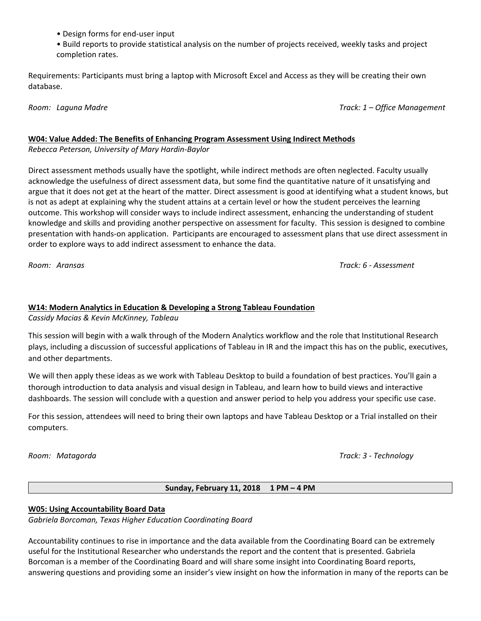- Design forms for end‐user input
- Build reports to provide statistical analysis on the number of projects received, weekly tasks and project completion rates.

Requirements: Participants must bring a laptop with Microsoft Excel and Access as they will be creating their own database.

*Room: Laguna Madre Track: 1 – Office Management* 

# **W04: Value Added: The Benefits of Enhancing Program Assessment Using Indirect Methods**

*Rebecca Peterson, University of Mary Hardin‐Baylor* 

Direct assessment methods usually have the spotlight, while indirect methods are often neglected. Faculty usually acknowledge the usefulness of direct assessment data, but some find the quantitative nature of it unsatisfying and argue that it does not get at the heart of the matter. Direct assessment is good at identifying what a student knows, but is not as adept at explaining why the student attains at a certain level or how the student perceives the learning outcome. This workshop will consider ways to include indirect assessment, enhancing the understanding of student knowledge and skills and providing another perspective on assessment for faculty. This session is designed to combine presentation with hands‐on application. Participants are encouraged to assessment plans that use direct assessment in order to explore ways to add indirect assessment to enhance the data.

*Room: Aransas Track: 6 ‐ Assessment* 

# **W14: Modern Analytics in Education & Developing a Strong Tableau Foundation**

*Cassidy Macias & Kevin McKinney, Tableau* 

This session will begin with a walk through of the Modern Analytics workflow and the role that Institutional Research plays, including a discussion of successful applications of Tableau in IR and the impact this has on the public, executives, and other departments.

We will then apply these ideas as we work with Tableau Desktop to build a foundation of best practices. You'll gain a thorough introduction to data analysis and visual design in Tableau, and learn how to build views and interactive dashboards. The session will conclude with a question and answer period to help you address your specific use case.

For this session, attendees will need to bring their own laptops and have Tableau Desktop or a Trial installed on their computers.

*Room: Matagorda Track: 3 ‐ Technology* 

# **Sunday, February 11, 2018 1 PM – 4 PM**

# **W05: Using Accountability Board Data**

*Gabriela Borcoman, Texas Higher Education Coordinating Board* 

Accountability continues to rise in importance and the data available from the Coordinating Board can be extremely useful for the Institutional Researcher who understands the report and the content that is presented. Gabriela Borcoman is a member of the Coordinating Board and will share some insight into Coordinating Board reports, answering questions and providing some an insider's view insight on how the information in many of the reports can be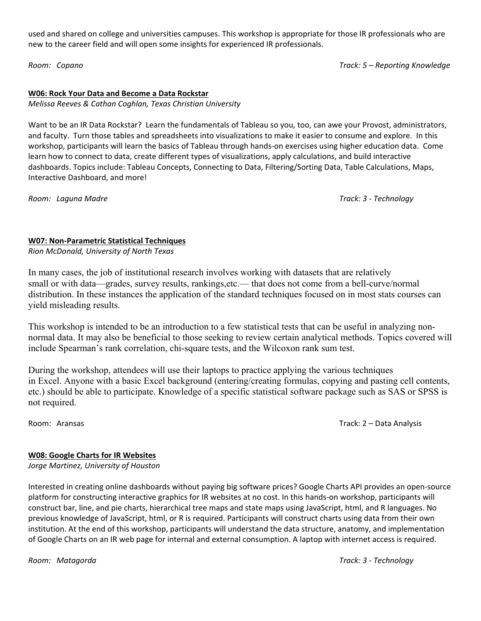used and shared on college and universities campuses. This workshop is appropriate for those IR professionals who are new to the career field and will open some insights for experienced IR professionals.

*Room: Copano Track: 5 – Reporting Knowledge* 

#### **W06: Rock Your Data and Become a Data Rockstar**

*Melissa Reeves & Cathan Coghlan, Texas Christian University* 

Want to be an IR Data Rockstar? Learn the fundamentals of Tableau so you, too, can awe your Provost, administrators, and faculty. Turn those tables and spreadsheets into visualizations to make it easier to consume and explore. In this workshop, participants will learn the basics of Tableau through hands‐on exercises using higher education data. Come learn how to connect to data, create different types of visualizations, apply calculations, and build interactive dashboards. Topics include: Tableau Concepts, Connecting to Data, Filtering/Sorting Data, Table Calculations, Maps, Interactive Dashboard, and more!

*Room: Laguna Madre Track: 3 ‐ Technology* 

## **W07: Non‐Parametric Statistical Techniques**

*Rion McDonald, University of North Texas* 

In many cases, the job of institutional research involves working with datasets that are relatively small or with data—grades, survey results, rankings, etc.— that does not come from a bell-curve/normal distribution. In these instances the application of the standard techniques focused on in most stats courses can yield misleading results.

This workshop is intended to be an introduction to a few statistical tests that can be useful in analyzing nonnormal data. It may also be beneficial to those seeking to review certain analytical methods. Topics covered will include Spearman's rank correlation, chi-square tests, and the Wilcoxon rank sum test.

During the workshop, attendees will use their laptops to practice applying the various techniques in Excel. Anyone with a basic Excel background (entering/creating formulas, copying and pasting cell contents, etc.) should be able to participate. Knowledge of a specific statistical software package such as SAS or SPSS is not required.

Room: Aransas Track: 2 – Data Analysis

#### **W08: Google Charts for IR Websites**

*Jorge Martinez, University of Houston* 

Interested in creating online dashboards without paying big software prices? Google Charts API provides an open‐source platform for constructing interactive graphics for IR websites at no cost. In this hands‐on workshop, participants will construct bar, line, and pie charts, hierarchical tree maps and state maps using JavaScript, html, and R languages. No previous knowledge of JavaScript, html, or R is required. Participants will construct charts using data from their own institution. At the end of this workshop, participants will understand the data structure, anatomy, and implementation of Google Charts on an IR web page for internal and external consumption. A laptop with internet access is required.

*Room: Matagorda Track: 3 ‐ Technology*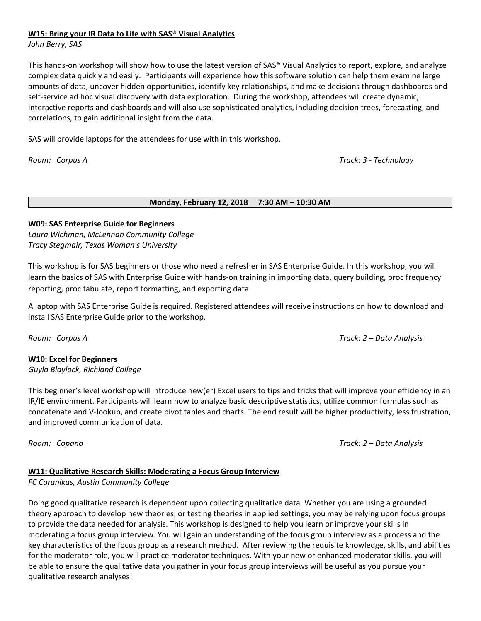#### **W15: Bring your IR Data to Life with SAS® Visual Analytics**

*John Berry, SAS* 

This hands‐on workshop will show how to use the latest version of SAS® Visual Analytics to report, explore, and analyze complex data quickly and easily. Participants will experience how this software solution can help them examine large amounts of data, uncover hidden opportunities, identify key relationships, and make decisions through dashboards and self-service ad hoc visual discovery with data exploration. During the workshop, attendees will create dynamic, interactive reports and dashboards and will also use sophisticated analytics, including decision trees, forecasting, and correlations, to gain additional insight from the data.

SAS will provide laptops for the attendees for use with in this workshop.

*Room: Corpus A Track: 3 ‐ Technology* 

#### **Monday, February 12, 2018 7:30 AM – 10:30 AM**

## **W09: SAS Enterprise Guide for Beginners**

*Laura Wichman, McLennan Community College Tracy Stegmair, Texas Woman's University* 

This workshop is for SAS beginners or those who need a refresher in SAS Enterprise Guide. In this workshop, you will learn the basics of SAS with Enterprise Guide with hands‐on training in importing data, query building, proc frequency reporting, proc tabulate, report formatting, and exporting data.

A laptop with SAS Enterprise Guide is required. Registered attendees will receive instructions on how to download and install SAS Enterprise Guide prior to the workshop.

*Room: Corpus A Track: 2 – Data Analysis* 

# **W10: Excel for Beginners**

*Guyla Blaylock, Richland College* 

This beginner's level workshop will introduce new(er) Excel users to tips and tricks that will improve your efficiency in an IR/IE environment. Participants will learn how to analyze basic descriptive statistics, utilize common formulas such as concatenate and V‐lookup, and create pivot tables and charts. The end result will be higher productivity, less frustration, and improved communication of data.

*Room: Copano Track: 2 – Data Analysis* 

# **W11: Qualitative Research Skills: Moderating a Focus Group Interview**

*FC Caranikas, Austin Community College* 

Doing good qualitative research is dependent upon collecting qualitative data. Whether you are using a grounded theory approach to develop new theories, or testing theories in applied settings, you may be relying upon focus groups to provide the data needed for analysis. This workshop is designed to help you learn or improve your skills in moderating a focus group interview. You will gain an understanding of the focus group interview as a process and the key characteristics of the focus group as a research method. After reviewing the requisite knowledge, skills, and abilities for the moderator role, you will practice moderator techniques. With your new or enhanced moderator skills, you will be able to ensure the qualitative data you gather in your focus group interviews will be useful as you pursue your qualitative research analyses!